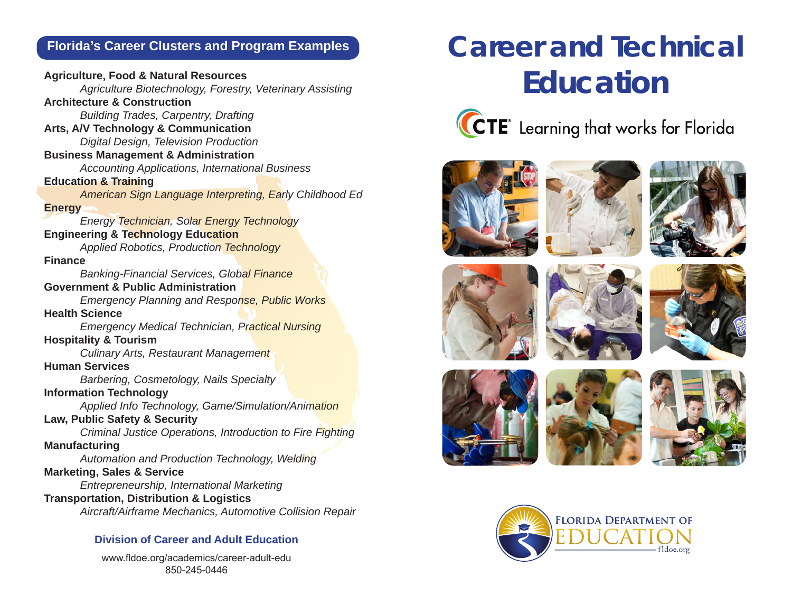## **Florida's Career Clusters and Program Examples**

**Agriculture, Food & Natural Resources**  *Agriculture Biotechnology, Forestry, Veterinary Assisting* **Architecture & Construction**  *Building Trades, Carpentry, Drafting* **Arts, A/V Technology & Communication**  *Digital Design, Television Production*  **Business Management & Administration**  *Accounting Applications, International Business* **Education & Training**  *American Sign Language Interpreting, Early Childhood Ed* **Energy**  *Energy Technician, Solar Energy Technology* **Engineering & Technology Education**  *Applied Robotics, Production Technology* **Finance**  *Banking-Financial Services, Global Finance* **Government & Public Administration**  *Emergency Planning and Response, Public Works* **Health Science**  *Emergency Medical Technician, Practical Nursing* **Hospitality & Tourism**  *Culinary Arts, Restaurant Management* **Human Services**  *Barbering, Cosmetology, Nails Specialty* **Information Technology**  *Applied Info Technology, Game/Simulation/Animation* **Law, Public Safety & Security**  *Criminal Justice Operations, Introduction to Fire Fighting* **Manufacturing**  *Automation and Production Technology, Welding* **Marketing, Sales & Service**  *Entrepreneurship, International Marketing* **Transportation, Distribution & Logistics**  *Aircraft/Airframe Mechanics, Automotive Collision Repair*

#### **Division of Career and Adult Education**

www.fldoe.org/academics/career-adult-edu 850-245-0446

# **Career and Technical Education**